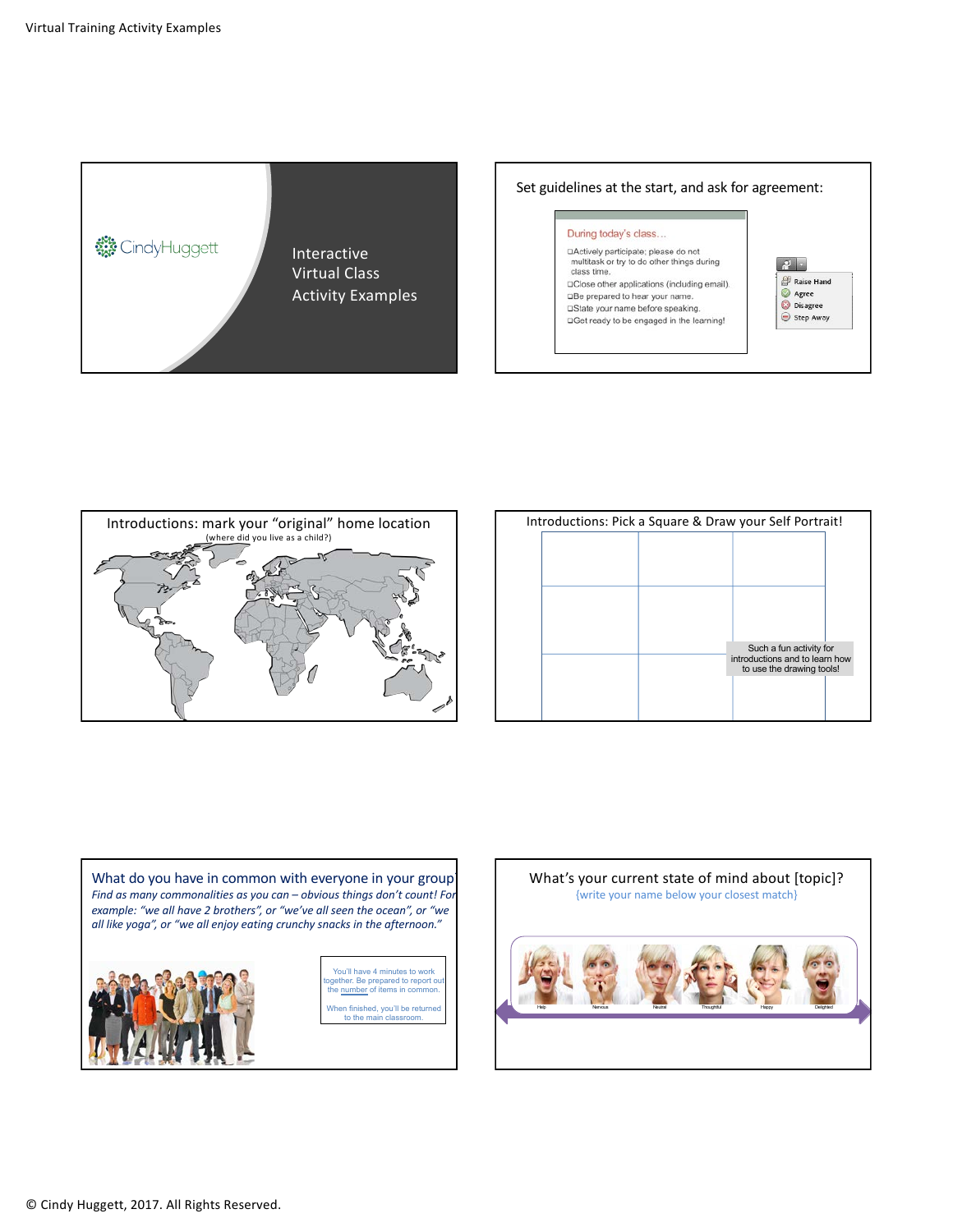









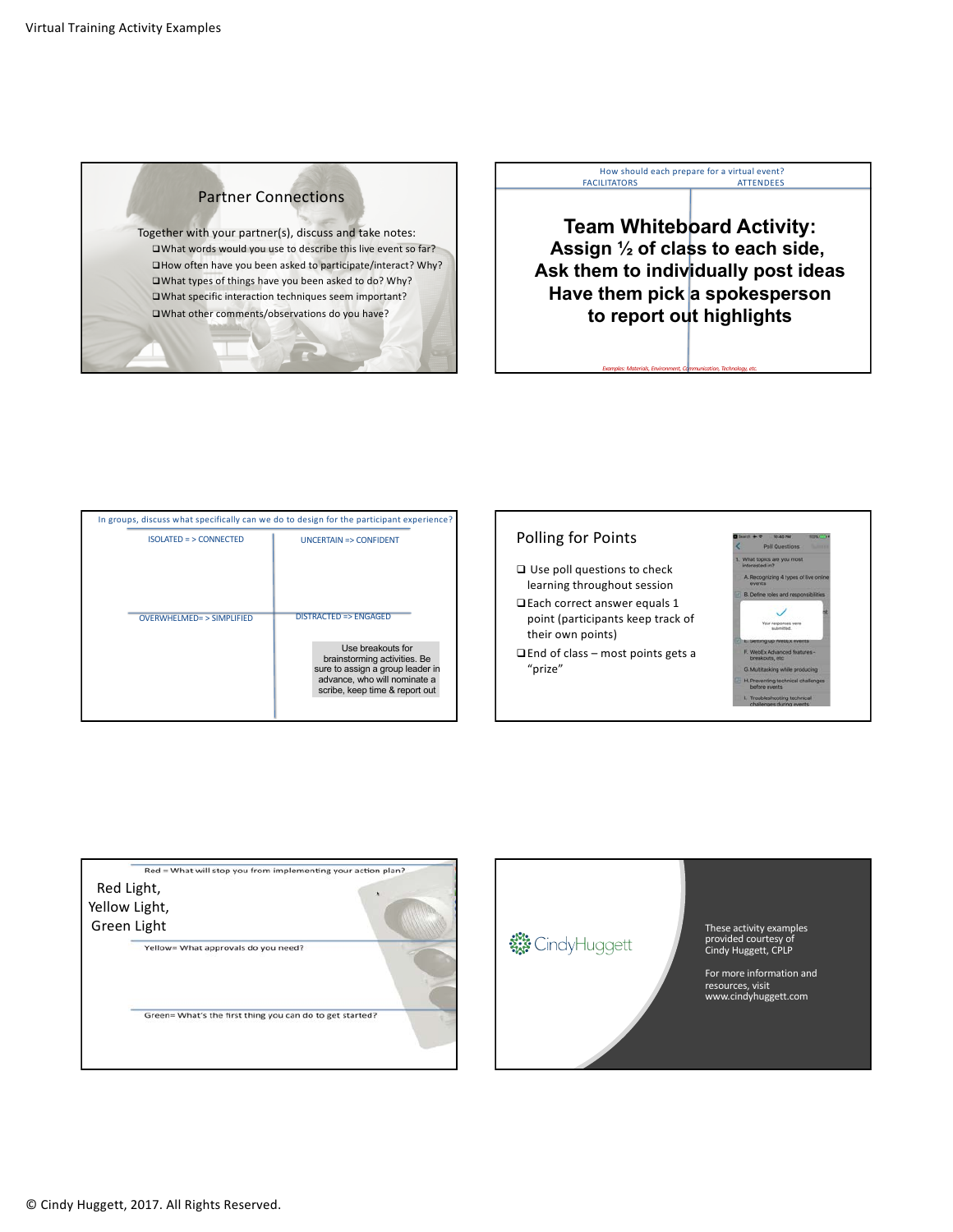

Together with your partner(s), discuss and take notes:  $\square$ What words would you use to describe this live event so far?  $\Box$ How often have you been asked to participate/interact? Why?  $\square$ What types of things have you been asked to do? Why?  $\square$ What specific interaction techniques seem important?  $\square$ What other comments/observations do you have?

## How should each prepare for a virtual event? FACILITATORS ATTENDEES

**Team Whiteboard Activity: Assign ½ of class to each side, Ask them to individually post ideas Have them pick a spokesperson to report out highlights**

**Examples: Materials, Environment, Communication, Technology, etc.** 

| In groups, discuss what specifically can we do to design for the participant experience? |                                                                                                                                                                                      |
|------------------------------------------------------------------------------------------|--------------------------------------------------------------------------------------------------------------------------------------------------------------------------------------|
| $ISOLATED = > CONNECTED$                                                                 | <b>UNCERTAIN =&gt; CONFIDENT</b>                                                                                                                                                     |
| OVERWHELMED= > SIMPLIFIED                                                                | $DISTRACTER$ => $ENGAGFD$<br>Use breakouts for<br>brainstorming activities. Be<br>sure to assign a group leader in<br>advance, who will nominate a<br>scribe, keep time & report out |

## Polling for Points

- $\Box$  Use poll questions to check learning throughout session
- □ Each correct answer equals 1 point (participants keep track of their own points)
- $\Box$ End of class most points gets a "prize"



| Red = What will stop you from implementing your action plan?<br>Red Light,<br>Yellow Light,<br>Green Light<br>Yellow= What approvals do you need? | These activity examples<br><b>整</b> CindyHuggett<br>provided courtesy of<br>Cindy Huggett, CPLP<br>For more information ar<br>resources, visit<br>www.cindyhuggett.com |
|---------------------------------------------------------------------------------------------------------------------------------------------------|------------------------------------------------------------------------------------------------------------------------------------------------------------------------|
| Green= What's the first thing you can do to get started?                                                                                          |                                                                                                                                                                        |